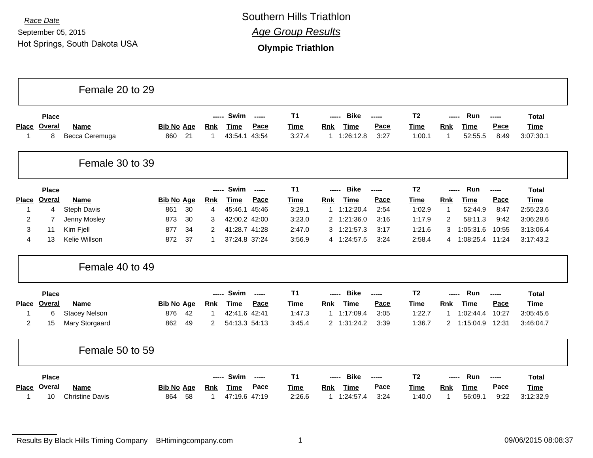September 05, 2015 Hot Springs, South Dakota USA

*Race Date* Southern Hills Triathlon *Age Group Results*

**Olympic Triathlon**

|                    |                             | Female 20 to 29               |                                |                                                                                                  |                                         |                                                                                         |                                  |                                                                                        |                                          |
|--------------------|-----------------------------|-------------------------------|--------------------------------|--------------------------------------------------------------------------------------------------|-----------------------------------------|-----------------------------------------------------------------------------------------|----------------------------------|----------------------------------------------------------------------------------------|------------------------------------------|
| <b>Place</b><br>-1 | <b>Place</b><br>Overal<br>8 | <b>Name</b><br>Becca Ceremuga | <b>Bib No Age</b><br>860<br>21 | Swim<br>$\frac{1}{2}$<br>-----<br>Pace<br>Rnk<br><b>Time</b><br>43:54.1<br>43:54<br>$\mathbf{1}$ | T <sub>1</sub><br><b>Time</b><br>3:27.4 | <b>Bike</b><br>-----<br>Pace<br><b>Rnk</b><br>Time<br>1:26:12.8<br>3:27<br>$\mathbf{1}$ | T <sub>2</sub><br>Time<br>1:00.1 | Run<br>-----<br>-----<br>Pace<br>Rnk<br><b>Time</b><br>52:55.5<br>8:49<br>$\mathbf{1}$ | <b>Total</b><br><b>Time</b><br>3:07:30.1 |
|                    |                             | Female 30 to 39               |                                |                                                                                                  |                                         |                                                                                         |                                  |                                                                                        |                                          |
|                    | <b>Place</b>                |                               |                                | Swim<br>-----<br>$\frac{1}{2}$                                                                   | <b>T1</b>                               | <b>Bike</b><br>-----<br>-----                                                           | T <sub>2</sub>                   | Run<br>-----<br>-----                                                                  | <b>Total</b>                             |
| <b>Place</b>       | Overal                      | <b>Name</b>                   | <b>Bib No Age</b>              | Pace<br><b>Rnk</b><br>Time                                                                       | <b>Time</b>                             | Pace<br><b>Time</b><br><b>Rnk</b>                                                       | <b>Time</b>                      | Pace<br><b>Time</b><br>Rnk                                                             | <b>Time</b>                              |
| $\mathbf 1$        | $\overline{4}$              | Steph Davis                   | 30<br>861                      | 45:46<br>45:46.1<br>4                                                                            | 3:29.1                                  | 2:54<br>1:12:20.4<br>1                                                                  | 1:02.9                           | $\mathbf{1}$<br>52:44.9<br>8:47                                                        | 2:55:23.6                                |
| 2                  | 7                           | Jenny Mosley                  | 873<br>30                      | 42:00.2 42:00<br>3                                                                               | 3:23.0                                  | 2 1:21:36.0<br>3:16                                                                     | 1:17.9                           | $\overline{c}$<br>58:11.3<br>9:42                                                      | 3:06:28.6                                |
| 3                  | 11                          | Kim Fjell                     | 877<br>34                      | 41:28.7 41:28<br>$\overline{2}$                                                                  | 2:47.0                                  | 3 1:21:57.3<br>3:17                                                                     | 1:21.6                           | 1:05:31.6<br>10:55<br>3                                                                | 3:13:06.4                                |
| 4                  | 13                          | Kelie Willson                 | 872<br>37                      | 37:24.8 37:24<br>1                                                                               | 3:56.9                                  | 4 1:24:57.5<br>3:24                                                                     | 2:58.4                           | 1:08:25.4<br>11:24<br>4                                                                | 3:17:43.2                                |
|                    |                             | Female 40 to 49               |                                |                                                                                                  |                                         |                                                                                         |                                  |                                                                                        |                                          |
|                    | <b>Place</b>                |                               |                                | Swim<br>-----<br>-----                                                                           | <b>T1</b>                               | <b>Bike</b><br>-----<br>-----                                                           | T <sub>2</sub>                   | Run<br>-----<br>$\frac{1}{2}$                                                          | <b>Total</b>                             |
| <b>Place</b>       | <b>Overal</b>               | Name                          | <b>Bib No Age</b>              | Pace<br><b>Rnk</b><br><b>Time</b>                                                                | <b>Time</b>                             | Pace<br><b>Time</b><br><b>Rnk</b>                                                       | <b>Time</b>                      | Pace<br><b>Time</b><br>Rnk                                                             | <b>Time</b>                              |
| 1                  | 6                           | <b>Stacey Nelson</b>          | 42<br>876                      | 42:41.6 42:41<br>$\mathbf{1}$                                                                    | 1:47.3                                  | 1:17:09.4<br>3:05<br>1                                                                  | 1:22.7                           | 1:02:44.4<br>10:27<br>$\mathbf{1}$                                                     | 3:05:45.6                                |
| 2                  | 15                          | Mary Storgaard                | 862<br>49                      | 54:13.3 54:13<br>2                                                                               | 3:45.4                                  | 2 1:31:24.2<br>3:39                                                                     | 1:36.7                           | $\overline{2}$<br>12:31<br>1:15:04.9                                                   | 3:46:04.7                                |
|                    |                             | Female 50 to 59               |                                |                                                                                                  |                                         |                                                                                         |                                  |                                                                                        |                                          |
|                    | Place                       |                               |                                | Swim<br>-----<br>------                                                                          | T <sub>1</sub>                          | <b>Bike</b><br>-----                                                                    | T <sub>2</sub>                   | Run<br>-----                                                                           | <b>Total</b>                             |
| <b>Place</b>       | <b>Overal</b>               | Name                          | <b>Bib No Age</b>              | Pace<br><b>Rnk</b><br><b>Time</b>                                                                | Time                                    | Pace<br><b>Time</b><br><b>Rnk</b>                                                       | Time                             | Pace<br><b>Time</b><br>Rnk                                                             | <b>Time</b>                              |
| -1                 | 10                          | <b>Christine Davis</b>        | 864<br>58                      | 47:19.6 47:19<br>1                                                                               | 2:26.6                                  | 1:24:57.4<br>3:24<br>1                                                                  | 1:40.0                           | 56:09.1<br>9:22<br>1                                                                   | 3:12:32.9                                |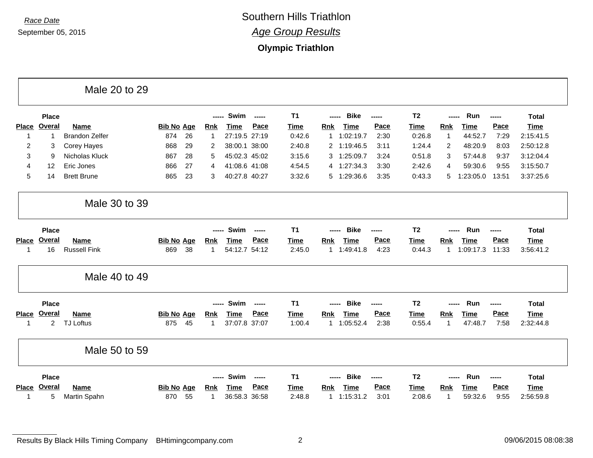**Olympic Triathlon**

|                |                | Male 20 to 29         |                   |    |              |               |               |             |                           |        |                     |                |                     |       |              |
|----------------|----------------|-----------------------|-------------------|----|--------------|---------------|---------------|-------------|---------------------------|--------|---------------------|----------------|---------------------|-------|--------------|
|                | <b>Place</b>   |                       |                   |    | -----        | Swim          | $- - - - -$   | <b>T1</b>   | <b>Bike</b><br>-----      | ------ | T <sub>2</sub>      |                | Run<br>-----        | ----- | <b>Total</b> |
| <b>Place</b>   | <b>Overal</b>  | Name                  | <b>Bib No Age</b> |    | <b>Rnk</b>   | <b>Time</b>   | Pace          | <b>Time</b> | <b>Time</b><br><b>Rnk</b> |        | Pace<br><b>Time</b> | <b>Rnk</b>     | <u>Time</u>         | Pace  | <b>Time</b>  |
| $\mathbf{1}$   | -1             | <b>Brandon Zelfer</b> | 874               | 26 |              | 27:19.5 27:19 |               | 0:42.6      | 1:02:19.7<br>1            |        | 2:30<br>0:26.8      | $\overline{1}$ | 44:52.7             | 7:29  | 2:15:41.5    |
| $\overline{c}$ | 3              | <b>Corey Hayes</b>    | 868               | 29 | 2            | 38:00.1 38:00 |               | 2:40.8      | 2 1:19:46.5               |        | 3:11<br>1:24.4      | $\overline{2}$ | 48:20.9             | 8:03  | 2:50:12.8    |
| 3              | 9              | Nicholas Kluck        | 867               | 28 | 5            | 45:02.3 45:02 |               | 3:15.6      | 1:25:09.7<br>3            |        | 0:51.8<br>3:24      | 3              | 57:44.8             | 9:37  | 3:12:04.4    |
| 4              | 12             | Eric Jones            | 866               | 27 | 4            | 41:08.6 41:08 |               | 4:54.5      | 4 1:27:34.3               |        | 3:30<br>2:42.6      | 4              | 59:30.6             | 9:55  | 3:15:50.7    |
| 5              | 14             | <b>Brett Brune</b>    | 865               | 23 | 3            | 40:27.8 40:27 |               | 3:32.6      | 5 1:29:36.6               |        | 3:35<br>0:43.3      | 5              | 1:23:05.0           | 13:51 | 3:37:25.6    |
|                |                | Male 30 to 39         |                   |    |              |               |               |             |                           |        |                     |                |                     |       |              |
|                | <b>Place</b>   |                       |                   |    |              | Swim          | $\sim$        | T1          | <b>Bike</b><br>-----      | ------ | T <sub>2</sub>      |                | <b>Run</b><br>----- | ----- | <b>Total</b> |
| <b>Place</b>   | <b>Overal</b>  | Name                  | <b>Bib No Age</b> |    | <b>Rnk</b>   | <b>Time</b>   | Pace          | <b>Time</b> | <b>Time</b><br><b>Rnk</b> |        | Pace<br><u>Time</u> | <b>Rnk</b>     | <b>Time</b>         | Pace  | <b>Time</b>  |
| 1              | 16             | <b>Russell Fink</b>   | 869               | 38 | $\mathbf{1}$ | 54:12.7 54:12 |               | 2:45.0      | 1 1:49:41.8               |        | 4:23<br>0:44.3      | 1              | 1:09:17.3           | 11:33 | 3:56:41.2    |
|                |                | Male 40 to 49         |                   |    |              |               |               |             |                           |        |                     |                |                     |       |              |
|                | <b>Place</b>   |                       |                   |    |              | Swim          | $\frac{1}{2}$ | <b>T1</b>   | <b>Bike</b><br>-----      | -----  | T <sub>2</sub>      |                | Run                 | ----- | <b>Total</b> |
| <b>Place</b>   | Overal         | Name                  | <b>Bib No Age</b> |    | <b>Rnk</b>   | <b>Time</b>   | Pace          | <b>Time</b> | <b>Time</b><br><b>Rnk</b> |        | Pace<br><b>Time</b> | <b>Rnk</b>     | <b>Time</b>         | Pace  | <b>Time</b>  |
| -1             | $\overline{2}$ | <b>TJ Loftus</b>      | 875               | 45 | $\mathbf{1}$ | 37:07.8 37:07 |               | 1:00.4      | 1 1:05:52.4               |        | 2:38<br>0:55.4      | -1             | 47:48.7             | 7:58  | 2:32:44.8    |
|                |                | Male 50 to 59         |                   |    |              |               |               |             |                           |        |                     |                |                     |       |              |
|                | <b>Place</b>   |                       |                   |    |              | Swim          | -----         | <b>T1</b>   | <b>Bike</b>               | -----  | T <sub>2</sub>      |                | Run                 | ----- | <b>Total</b> |
| Place          | Overal         | Name                  | <b>Bib No Age</b> |    | Rnk          | <b>Time</b>   | Pace          | <b>Time</b> | <b>Time</b><br>Rnk        |        | Pace<br><u>Time</u> | <b>Rnk</b>     | <b>Time</b>         | Pace  | <b>Time</b>  |
| 1              | 5              | Martin Spahn          | 870               | 55 | 1            | 36:58.3 36:58 |               | 2:48.8      | 1 1:15:31.2               |        | 3:01<br>2:08.6      | -1             | 59:32.6             | 9:55  | 2:56:59.8    |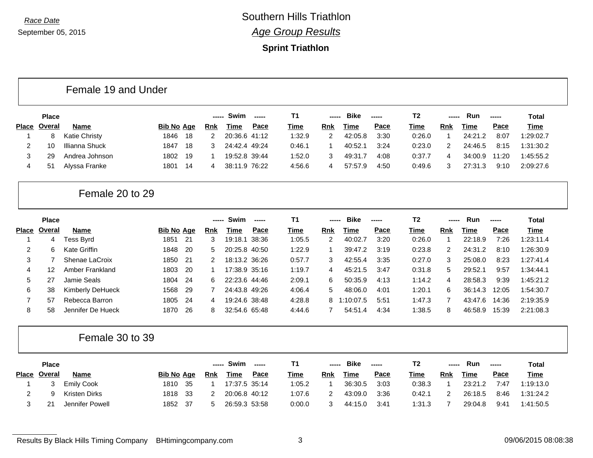#### **Sprint Triathlon**

#### Female 19 and Under

|              | <b>Place</b>   |                |                   |      |            | Swim          | $\begin{array}{ccc} \multicolumn{3}{c}{} & \multicolumn{3}{c}{} & \multicolumn{3}{c}{} & \multicolumn{3}{c}{} & \multicolumn{3}{c}{} & \multicolumn{3}{c}{} & \multicolumn{3}{c}{} & \multicolumn{3}{c}{} & \multicolumn{3}{c}{} & \multicolumn{3}{c}{} & \multicolumn{3}{c}{} & \multicolumn{3}{c}{} & \multicolumn{3}{c}{} & \multicolumn{3}{c}{} & \multicolumn{3}{c}{} & \multicolumn{3}{c}{} & \multicolumn{3}{c}{} & \multicolumn{3}{c}{} & \multicolumn{3}{c}{} & \multicolumn$ | Τ1     | ----- | <b>Bike</b> | -----       | T2     | ----- | Run     | $\frac{1}{2}$ | Total       |
|--------------|----------------|----------------|-------------------|------|------------|---------------|----------------------------------------------------------------------------------------------------------------------------------------------------------------------------------------------------------------------------------------------------------------------------------------------------------------------------------------------------------------------------------------------------------------------------------------------------------------------------------------|--------|-------|-------------|-------------|--------|-------|---------|---------------|-------------|
| <b>Place</b> | Overal         | <b>Name</b>    | <b>Bib No Age</b> |      | <b>Rnk</b> | Time          | Pace                                                                                                                                                                                                                                                                                                                                                                                                                                                                                   | Time   | Rnk   | Time        | <u>Pace</u> | Time   | Rnk   | Time    | Pace          | <b>Time</b> |
|              |                | Katie Christy  | 1846              | -18  |            | 20:36.6 41:12 |                                                                                                                                                                                                                                                                                                                                                                                                                                                                                        | 1:32.9 |       | 42:05.8     | 3:30        | 0:26.0 |       | 24:21.2 | 8:07          | 1:29:02.7   |
|              | 10             | Illianna Shuck | 1847              | -18  |            | 24:42.4 49:24 |                                                                                                                                                                                                                                                                                                                                                                                                                                                                                        | 0:46.1 |       | 40:52.1     | 3:24        | 0:23.0 |       | 24:46.5 | 8:15          | 1:31:30.2   |
|              | 29             | Andrea Johnson | 1802              | - 19 |            | 19:52.8 39:44 |                                                                                                                                                                                                                                                                                                                                                                                                                                                                                        | 1:52.0 |       | 49:31.7     | 4:08        | 0:37.7 | 4     | 34:00.9 | 11:20         | 1:45:55.2   |
| 4            | 5 <sup>′</sup> | Alyssa Franke  | 1801              | -14  |            | 38:11.9 76:22 |                                                                                                                                                                                                                                                                                                                                                                                                                                                                                        | 4:56.6 | 4     | 57:57.9     | 4:50        | 0:49.6 |       | 27:31.3 | 9:10          | 2:09:27.6   |

### Female 20 to 29

|       | <b>Place</b> |                   |            |      | ----- | Swim          | $- - - - -$ | Τ1     | ----- | <b>Bike</b> | ------ | T <sub>2</sub> | ----- | Run     | $\frac{1}{2}$ | Total       |
|-------|--------------|-------------------|------------|------|-------|---------------|-------------|--------|-------|-------------|--------|----------------|-------|---------|---------------|-------------|
| Place | Overal       | <b>Name</b>       | Bib No Age |      | Rnk   | Time          | Pace        | Time   | Rnk   | Time        | Pace   | Time           | Rnk   | Time    | Pace          | <b>Time</b> |
|       | 4            | Tess Byrd         | 1851       | -21  | 3     | 19:18.1 38:36 |             | 1:05.5 | 2     | 40:02.7     | 3:20   | 0:26.0         |       | 22:18.9 | 7:26          | 1:23:11.4   |
| 2     | 6.           | Kate Griffin      | 1848       | -20  | 5.    | 20:25.8 40:50 |             | 1:22.9 |       | 39:47.2     | 3:19   | 0:23.8         | 2     | 24:31.2 | 8:10          | 1:26:30.9   |
| 3     |              | Shenae LaCroix    | 1850       | - 21 | 2     | 18:13.2 36:26 |             | 0:57.7 | 3     | 42:55.4     | 3:35   | 0:27.0         | 3     | 25:08.0 | 8:23          | 1:27:41.4   |
| 4     |              | Amber Frankland   | 1803       | -20  |       | 17:38.9 35:16 |             | 1:19.7 | 4     | 45:21.5     | 3:47   | 0:31.8         | 5.    | 29:52.1 | 9:57          | 1:34:44.1   |
| 5     | 27           | Jamie Seals       | 1804       | - 24 | 6.    | 22:23.6 44:46 |             | 2:09.1 | 6     | 50:35.9     | 4:13   | 1:14.2         | 4     | 28:58.3 | 9:39          | 1:45:21.2   |
| 6     | 38           | Kimberly DeHueck  | 1568       | 29   |       | 24:43.8 49:26 |             | 4:06.4 | 5     | 48:06.0     | 4:01   | 1:20.1         | 6     | 36:14.3 | 12:05         | 1:54:30.7   |
|       | 57           | Rebecca Barron    | 1805       | -24  | 4     | 19:24.6 38:48 |             | 4:28.8 |       | 8 1:10:07.5 | 5:51   | 1:47.3         |       | 43:47.6 | 14:36         | 2:19:35.9   |
| 8     | 58           | Jennifer De Hueck | 1870       | 26   | 8     | 32:54.6 65:48 |             | 4:44.6 |       | 54:51.4     | 4:34   | 1:38.5         | 8     | 46:58.9 | 15:39         | 2:21:08.3   |

### Female 30 to 39

| <b>Place</b>        |                   |            |      | -----      | Swim          | $- - - - -$ | Т1          | ------ | <b>Bike</b> | $\begin{array}{ccc}\n\text{---} & \text{---} & \text{---}\n\end{array}$ | Т2          | ------ | <b>Run</b> | -----       | Total       |
|---------------------|-------------------|------------|------|------------|---------------|-------------|-------------|--------|-------------|-------------------------------------------------------------------------|-------------|--------|------------|-------------|-------------|
| Place <u>Overal</u> | Name              | Bib No Age |      | <b>Rnk</b> | Time          | <u>Pace</u> | <u>Time</u> | Rnk    | <u>Time</u> | <u>Pace</u>                                                             | <u>Time</u> | Rnk    | Time       | <u>Pace</u> | <u>Time</u> |
|                     | <b>Emily Cook</b> | 1810       | - 35 |            | 17:37.5 35:14 |             | 1:05.2      |        | 36:30.5     | 3:03                                                                    | 0:38.3      |        | 23:21.2    | 7:47        | 1:19:13.0   |
|                     | Kristen Dirks     | 1818 33    |      |            | 20:06.8 40:12 |             | 1:07.6      |        | 43:09.0     | 3:36                                                                    | 0:42.1      |        | 26:18.5    | 8:46        | 1:31:24.2   |
| 21                  | Jennifer Powell   | 1852       | - 37 |            | 26:59.3 53:58 |             | 0:00.0      |        | 44:15.0     | 3:4'                                                                    | 1:31.3      |        | 29:04.8    | 9:41        | 1:41:50.5   |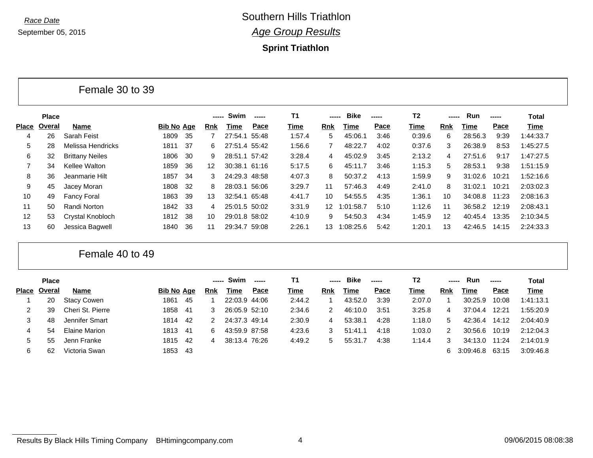**Sprint Triathlon**

|                   |              | טט עט גע האוויט        |                   |      |                 |               |       |                |                 |             |       |                |        |         |       |           |
|-------------------|--------------|------------------------|-------------------|------|-----------------|---------------|-------|----------------|-----------------|-------------|-------|----------------|--------|---------|-------|-----------|
|                   | <b>Place</b> |                        |                   |      | -----           | Swim          |       | T <sub>1</sub> | -----           | <b>Bike</b> | ----- | T <sub>2</sub> | ------ | Run     | ----- | Total     |
| <b>Place</b>      | Overal       | Name                   | <b>Bib No Age</b> |      | <b>Rnk</b>      | Time          | Pace  | Time           | Rnk             | Time        | Pace  | Time           | Rnk    | Time    | Pace  | Time      |
| 4                 | 26           | Sarah Feist            | 1809              | -35  |                 | 27:54.1       | 55:48 | 1:57.4         | 5               | 45:06.1     | 3:46  | 0:39.6         | 6      | 28:56.3 | 9:39  | 1:44:33.7 |
| 5                 | 28           | Melissa Hendricks      | 1811              | -37  | 6               | 27:51.4 55:42 |       | 1:56.6         |                 | 48:22.7     | 4:02  | 0:37.6         | 3      | 26:38.9 | 8:53  | 1:45:27.5 |
| 6                 | 32           | <b>Brittany Neiles</b> | 1806              | -30  | 9               | 28:51.1 57:42 |       | 3:28.4         | 4               | 45:02.9     | 3:45  | 2:13.2         | 4      | 27:51.6 | 9:17  | 1:47:27.5 |
| 7                 | 34           | Kellee Walton          | 1859              | 36   | 12 <sup>°</sup> | 30:38.1 61:16 |       | 5:17.5         | 6               | 45:11.7     | 3:46  | 1:15.3         | 5      | 28:53.1 | 9:38  | 1:51:15.9 |
| 8                 | 36           | Jeanmarie Hilt         | 1857              | -34  | 3               | 24:29.3 48:58 |       | 4:07.3         | 8               | 50:37.2     | 4:13  | 1:59.9         | 9      | 31:02.6 | 10:21 | 1:52:16.6 |
| 9                 | 45           | Jacey Moran            | 1808              | -32  | 8               | 28:03.1 56:06 |       | 3:29.7         | 11              | 57:46.3     | 4:49  | 2:41.0         | 8      | 31:02.1 | 10:21 | 2:03:02.3 |
| 10                | 49           | <b>Fancy Foral</b>     | 1863              | -39  | 13              | 32:54.1 65:48 |       | 4:41.7         | 10              | 54:55.5     | 4:35  | 1:36.1         | 10     | 34:08.8 | 11:23 | 2:08:16.3 |
| 11                | 50           | Randi Norton           | 1842              | - 33 | 4               | 25:01.5 50:02 |       | 3:31.9         | 12 <sup>1</sup> | 1:01:58.7   | 5:10  | 1:12.6         | 11     | 36:58.2 | 12:19 | 2:08:43.1 |
| $12 \overline{ }$ | 53           | Crystal Knobloch       | 1812              | -38  | 10              | 29:01.8 58:02 |       | 4:10.9         | 9               | 54:50.3     | 4:34  | 1:45.9         | 12     | 40:45.4 | 13:35 | 2:10:34.5 |
| 13                | 60           | Jessica Bagwell        | 1840              | 36   | 11              | 29:34.7 59:08 |       | 2:26.1         | 13              | 1:08:25.6   | 5:42  | 1:20.1         | 13     | 42:46.5 | 14:15 | 2:24:33.3 |

Female 40 to 49

Female 30 to 39

|              | <b>Place</b> |                    |                   |     |     | Swim          | $- - - - -$ | Τ1     | ----- | <b>Bike</b> | ----- | T2     | -----      | Run         | ------ | <b>Total</b> |
|--------------|--------------|--------------------|-------------------|-----|-----|---------------|-------------|--------|-------|-------------|-------|--------|------------|-------------|--------|--------------|
| <b>Place</b> | Overal       | <b>Name</b>        | <b>Bib No Age</b> |     | Rnk | Time          | Pace        | Time   | Rnk   | Time        | Pace  | Time   | <b>Rnk</b> | <b>Time</b> | Pace   | <b>Time</b>  |
|              | 20           | <b>Stacy Cowen</b> | 1861              | -45 |     | 22:03.9 44:06 |             | 2:44.2 |       | 43:52.0     | 3:39  | 2:07.0 |            | 30:25.9     | 10:08  | 1:41:13.1    |
|              | 39           | Cheri St. Pierre   | 1858              | -41 | 3   | 26:05.9 52:10 |             | 2:34.6 | 2     | 46:10.0     | 3:51  | 3:25.8 | 4          | 37:04.4     | 12:21  | 1:55:20.9    |
|              | 48           | Jennifer Smart     | 1814              | -42 |     | 24:37.3 49:14 |             | 2:30.9 | 4     | 53:38.1     | 4:28  | 1:18.0 | 5.         | 42:36.4     | 14:12  | 2:04:40.9    |
| 4            | 54           | Elaine Marion      | 1813 41           |     | 6   | 43:59.9 87:58 |             | 4:23.6 | 3     | 51:41.1     | 4:18  | 1:03.0 | 2          | 30:56.6     | 10:19  | 2:12:04.3    |
| $5 -$        | 55           | Jenn Franke        | 1815 42           |     | 4   | 38:13.4 76:26 |             | 4:49.2 | 5     | 55:31.7     | 4:38  | 1:14.4 | 3          | 34:13.0     | 11:24  | 2:14:01.9    |
| 6            | 62           | Victoria Swan      | 1853 43           |     |     |               |             |        |       |             |       |        |            | 3:09:46.8   | 63:15  | 3:09:46.8    |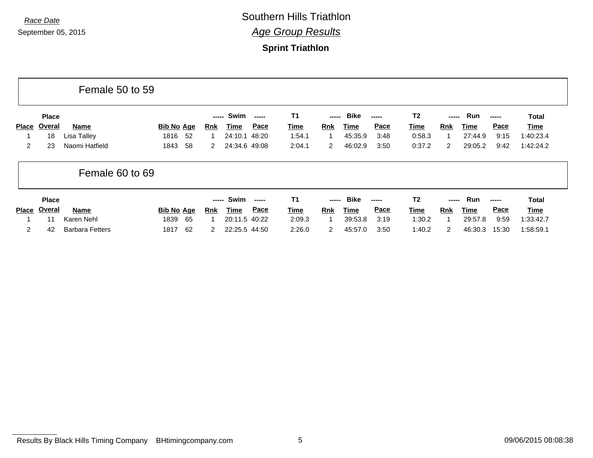|              |               | Female 50 to 59        |                   |                    |               |             |             |                      |             |             |                |            |         |             |              |
|--------------|---------------|------------------------|-------------------|--------------------|---------------|-------------|-------------|----------------------|-------------|-------------|----------------|------------|---------|-------------|--------------|
|              | <b>Place</b>  |                        |                   | -----              | Swim          |             | <b>T1</b>   | -----                | <b>Bike</b> | -----       | T <sub>2</sub> | -----      | Run     | -----       | <b>Total</b> |
| <b>Place</b> | <b>Overal</b> | Name                   | <b>Bib No Age</b> | <b>Rnk</b>         | Time          | Pace        | <b>Time</b> | <b>Rnk</b>           | <b>Time</b> | <b>Pace</b> | <u>Time</u>    | Rnk        | Time    | <b>Pace</b> | Time         |
|              | 18            | Lisa Talley            | 1816              | 52                 | 24:10.1       | 48:20       | 1:54.1      |                      | 45:35.9     | 3:48        | 0:58.3         |            | 27:44.9 | 9:15        | 1:40:23.4    |
| 2            | 23            | Naomi Hatfield         | 1843              | 58<br>$\mathbf{2}$ | 24:34.6 49:08 |             | 2:04.1      | $\mathbf{2}^{\circ}$ | 46:02.9     | 3:50        | 0:37.2         | 2          | 29:05.2 | 9:42        | 1:42:24.2    |
|              |               | Female 60 to 69        |                   |                    |               |             |             |                      |             |             |                |            |         |             |              |
|              | <b>Place</b>  |                        |                   | -----              | Swim          |             | <b>T1</b>   | -----                | <b>Bike</b> | -----       | T <sub>2</sub> | -----      | Run     |             | <b>Total</b> |
| <b>Place</b> | Overal        | Name                   | <b>Bib No Age</b> | <u>Rnk</u>         | Time          | <b>Pace</b> | <b>Time</b> | <b>Rnk</b>           | Time        | Pace        | <b>Time</b>    | <b>Rnk</b> | Time    | Pace        | Time         |
|              | 11            | Karen Nehl             | 65<br>1839        |                    | 20:11.5 40:22 |             | 2:09.3      |                      | 39:53.8     | 3:19        | 1:30.2         |            | 29:57.8 | 9:59        | 1:33:42.7    |
| 2            | 42            | <b>Barbara Fetters</b> | 62<br>1817        | $\mathbf{2}$       | 22:25.5 44:50 |             | 2:26.0      | $\mathbf{2}^{\circ}$ | 45:57.0     | 3:50        | 1:40.2         | 2          | 46:30.3 | 15:30       | 1:58:59.1    |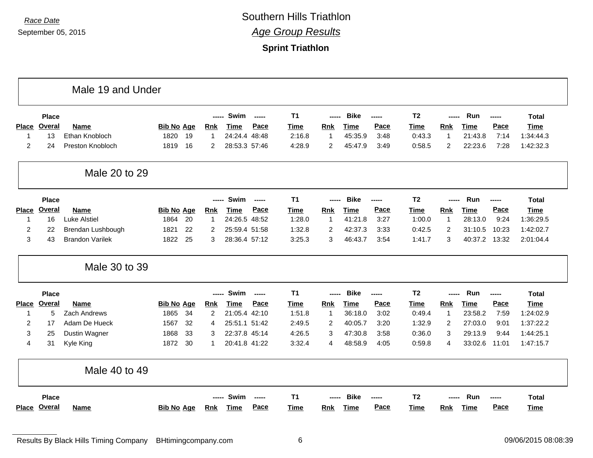|                |               | Male 19 and Under      |                   |    |                |               |               |                |                |             |        |                |                |             |       |              |
|----------------|---------------|------------------------|-------------------|----|----------------|---------------|---------------|----------------|----------------|-------------|--------|----------------|----------------|-------------|-------|--------------|
|                | <b>Place</b>  |                        |                   |    | -----          | Swim          | $---$         | T <sub>1</sub> | -----          | <b>Bike</b> | -----  | T <sub>2</sub> | -----          | Run         | ----- | <b>Total</b> |
| <b>Place</b>   | <b>Overal</b> | Name                   | <b>Bib No Age</b> |    | Rnk            | Time          | Pace          | Time           | Rnk            | <b>Time</b> | Pace   | Time           | <b>Rnk</b>     | <b>Time</b> | Pace  | Time         |
| -1             | 13            | Ethan Knobloch         | 1820              | 19 | 1              | 24:24.4       | 48:48         | 2:16.8         | $\overline{1}$ | 45:35.9     | 3:48   | 0:43.3         | $\overline{1}$ | 21:43.8     | 7:14  | 1:34:44.3    |
| $\overline{c}$ | 24            | Preston Knobloch       | 1819              | 16 | $\overline{2}$ | 28:53.3 57:46 |               | 4:28.9         | $\overline{2}$ | 45:47.9     | 3:49   | 0:58.5         | $\overline{c}$ | 22:23.6     | 7:28  | 1:42:32.3    |
|                |               | Male 20 to 29          |                   |    |                |               |               |                |                |             |        |                |                |             |       |              |
|                | <b>Place</b>  |                        |                   |    | $- - - - -$    | Swim          | $- - - - -$   | T <sub>1</sub> | -----          | <b>Bike</b> | ------ | T <sub>2</sub> | -----          | <b>Run</b>  | ----- | <b>Total</b> |
| <b>Place</b>   | Overal        | <b>Name</b>            | <b>Bib No Age</b> |    | <b>Rnk</b>     | <b>Time</b>   | Pace          | <b>Time</b>    | <b>Rnk</b>     | <b>Time</b> | Pace   | <b>Time</b>    | <b>Rnk</b>     | <b>Time</b> | Pace  | <b>Time</b>  |
| -1             | 16            | <b>Luke Alstiel</b>    | 1864              | 20 | -1             | 24:26.5 48:52 |               | 1:28.0         | $\mathbf 1$    | 41:21.8     | 3:27   | 1:00.0         | $\mathbf 1$    | 28:13.0     | 9:24  | 1:36:29.5    |
| $\overline{2}$ | 22            | Brendan Lushbough      | 1821              | 22 | 2              | 25:59.4 51:58 |               | 1:32.8         | $\overline{2}$ | 42:37.3     | 3:33   | 0:42.5         | $\overline{2}$ | 31:10.5     | 10:23 | 1:42:02.7    |
| 3              | 43            | <b>Brandon Varilek</b> | 1822              | 25 | 3              | 28:36.4 57:12 |               | 3:25.3         | 3              | 46:43.7     | 3:54   | 1:41.7         | 3              | 40:37.2     | 13:32 | 2:01:04.4    |
|                |               | Male 30 to 39          |                   |    |                |               |               |                |                |             |        |                |                |             |       |              |
|                | <b>Place</b>  |                        |                   |    | -----          | Swim          | $\frac{1}{2}$ | T <sub>1</sub> | -----          | <b>Bike</b> | -----  | T <sub>2</sub> | -----          | Run         | ----- | <b>Total</b> |
| <b>Place</b>   | <b>Overal</b> | Name                   | <b>Bib No Age</b> |    | Rnk            | <b>Time</b>   | Pace          | <b>Time</b>    | Rnk            | <b>Time</b> | Pace   | <b>Time</b>    | Rnk            | <b>Time</b> | Pace  | <b>Time</b>  |
| $\overline{1}$ | 5             | Zach Andrews           | 1865              | 34 | $\overline{2}$ | 21:05.4 42:10 |               | 1:51.8         | $\mathbf{1}$   | 36:18.0     | 3:02   | 0:49.4         | $\mathbf{1}$   | 23:58.2     | 7:59  | 1:24:02.9    |
| $\overline{2}$ | 17            | Adam De Hueck          | 1567              | 32 | 4              | 25:51.1 51:42 |               | 2:49.5         | $\overline{2}$ | 40:05.7     | 3:20   | 1:32.9         | 2              | 27:03.0     | 9:01  | 1:37:22.2    |
| 3              | 25            | Dustin Wagner          | 1868              | 33 | 3              | 22:37.8 45:14 |               | 4:26.5         | 3              | 47:30.8     | 3:58   | 0:36.0         | 3              | 29:13.9     | 9:44  | 1:44:25.1    |
| 4              | 31            | Kyle King              | 1872              | 30 | 1              | 20:41.8 41:22 |               | 3:32.4         | 4              | 48:58.9     | 4:05   | 0:59.8         | 4              | 33:02.6     | 11:01 | 1:47:15.7    |
|                |               | Male 40 to 49          |                   |    |                |               |               |                |                |             |        |                |                |             |       |              |
|                | <b>Place</b>  |                        |                   |    | $- - - - -$    | Swim          | $- - - - -$   | T <sub>1</sub> |                | <b>Bike</b> | ------ | T <sub>2</sub> |                | Run         | ----- | <b>Total</b> |
|                |               |                        |                   |    |                |               |               |                |                |             |        |                |                |             |       |              |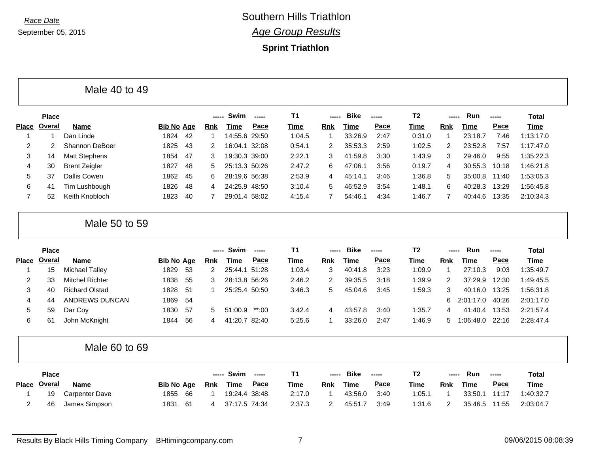Г

*Race Date* Southern Hills Triathlon *Age Group Results*

|                   | <b>Place</b> |                        |                   |    | -----      | Swim          | -----   | <b>T1</b> | -----          | <b>Bike</b> | ----- | T <sub>2</sub> | -----          | Run         | ----- | <b>Total</b> |
|-------------------|--------------|------------------------|-------------------|----|------------|---------------|---------|-----------|----------------|-------------|-------|----------------|----------------|-------------|-------|--------------|
| <b>Place</b>      | Overal       | <b>Name</b>            | <b>Bib No Age</b> |    | <b>Rnk</b> | Time          | Pace    | Time      | Rnk            | <b>Time</b> | Pace  | Time           | <b>Rnk</b>     | <b>Time</b> | Pace  | <b>Time</b>  |
| 1                 | 1            | Dan Linde              | 1824              | 42 | -1         | 14:55.6 29:50 |         | 1:04.5    | 1              | 33:26.9     | 2:47  | 0:31.0         | $\mathbf 1$    | 23:18.7     | 7:46  | 1:13:17.0    |
| 2                 | 2            | <b>Shannon DeBoer</b>  | 1825              | 43 | 2          | 16:04.1 32:08 |         | 0:54.1    | 2              | 35:53.3     | 2:59  | 1:02.5         | 2              | 23:52.8     | 7:57  | 1:17:47.0    |
| 3                 | 14           | <b>Matt Stephens</b>   | 1854              | 47 | 3          | 19:30.3 39:00 |         | 2:22.1    | 3              | 41:59.8     | 3:30  | 1:43.9         | 3              | 29:46.0     | 9:55  | 1:35:22.3    |
| 4                 | 30           | <b>Brent Zeigler</b>   | 1827              | 48 | 5          | 25:13.3 50:26 |         | 2:47.2    | 6              | 47:06.1     | 3:56  | 0:19.7         | 4              | 30:55.3     | 10:18 | 1:46:21.8    |
| 5                 | 37           | <b>Dallis Cowen</b>    | 1862              | 45 | 6          | 28:19.6 56:38 |         | 2:53.9    | 4              | 45:14.1     | 3:46  | 1:36.8         | 5              | 35:00.8     | 11:40 | 1:53:05.3    |
| 6                 | 41           | Tim Lushbough          | 1826              | 48 | 4          | 24:25.9 48:50 |         | 3:10.4    | 5              | 46:52.9     | 3:54  | 1:48.1         | 6              | 40:28.3     | 13:29 | 1:56:45.8    |
| $\overline{7}$    | 52           | Keith Knobloch         | 1823              | 40 | 7          | 29:01.4 58:02 |         | 4:15.4    | $\overline{7}$ | 54:46.1     | 4:34  | 1:46.7         | 7              | 40:44.6     | 13:35 | 2:10:34.3    |
|                   |              | Male 50 to 59          |                   |    |            |               |         |           |                |             |       |                |                |             |       |              |
|                   |              |                        |                   |    |            |               |         |           |                |             |       |                |                |             |       |              |
|                   | <b>Place</b> |                        |                   |    | -----      | Swim          | ------  | <b>T1</b> | -----          | <b>Bike</b> | ----- | T <sub>2</sub> |                | Run         | ----- | <b>Total</b> |
|                   | Overal       | Name                   | <b>Bib No Age</b> |    | <b>Rnk</b> | <b>Time</b>   | Pace    | Time      | <b>Rnk</b>     | <b>Time</b> | Pace  | Time           | <b>Rnk</b>     | <b>Time</b> | Pace  | <b>Time</b>  |
|                   | 15           | <b>Michael Talley</b>  | 1829              | 53 | 2          | 25:44.1 51:28 |         | 1:03.4    | 3              | 40:41.8     | 3:23  | 1:09.9         | $\overline{1}$ | 27:10.3     | 9:03  | 1:35:49.7    |
| 2                 | 33           | <b>Mitchel Richter</b> | 1838              | 55 | 3          | 28:13.8 56:26 |         | 2:46.2    | 2              | 39:35.5     | 3:18  | 1:39.9         | 2              | 37:29.9     | 12:30 | 1:49:45.5    |
| 3                 | 40           | <b>Richard Olstad</b>  | 1828              | 51 |            | 25:25.4 50:50 |         | 3:46.3    | 5              | 45:04.6     | 3:45  | 1:59.3         | 3              | 40:16.0     | 13:25 | 1:56:31.8    |
| <b>Place</b><br>4 | 44           | ANDREWS DUNCAN         | 1869              | 54 |            |               |         |           |                |             |       |                | 6              | 2:01:17.0   | 40:26 | 2:01:17.0    |
| 5                 | 59           | Dar Coy                | 1830              | 57 | 5          | 51:00.9       | $**:00$ | 3:42.4    | 4              | 43:57.8     | 3:40  | 1:35.7         | 4              | 41:40.4     | 13:53 | 2:21:57.4    |
| 6                 | 61           | John McKnight          | 1844              | 56 | 4          | 41:20.7 82:40 |         | 5:25.6    | 1              | 33:26.0     | 2:47  | 1:46.9         | 5.             | 1:06:48.0   | 22:16 | 2:28:47.4    |

| <b>Place</b>        |                |                   | -----      | Swim          | $- - - - -$ |             | $\sim$ - $\sim$ - $\sim$ | <b>Bike</b> | ------      | т - п  | ----- | Run     | $\frac{1}{2}$ | <b>Total</b> |
|---------------------|----------------|-------------------|------------|---------------|-------------|-------------|--------------------------|-------------|-------------|--------|-------|---------|---------------|--------------|
| Place <u>Overal</u> | <b>Name</b>    | <b>Bib No Age</b> | <u>Rnk</u> | <u>Time</u>   | <u>Pace</u> | <b>Time</b> | <b>Rnk</b>               | Time        | <b>Pace</b> | Time   | Rnk   | Time    | Pace          | <b>Time</b>  |
| 19                  | Carpenter Dave | 1855 66           |            | 19:24.4 38:48 |             | 2:17.0      |                          | 43:56.0     | 3:40        | :05.1  |       | 33:50.1 | 11:17         | 1:40:32.7    |
| 46                  | James Simpson  | 1831<br>- 61      |            | 37:17.5 74:34 |             | 2:37.3      |                          | 45:51.7     | 3:49        | 1:31.6 |       | 35:46.5 | 11:55         | 2:03:04.7    |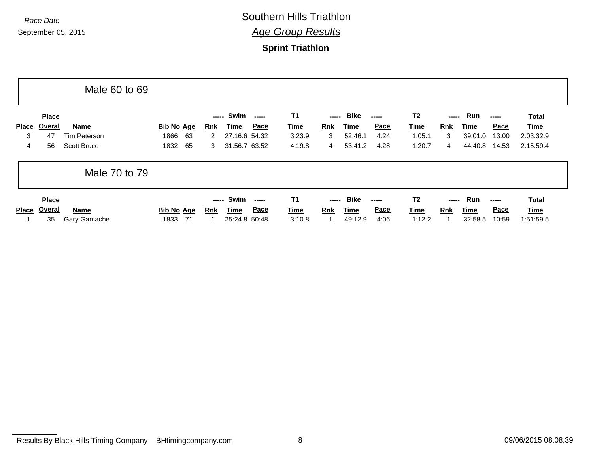|       |              | Male 60 to 69      |                   |            |               |      |             |                |             |             |                |            |             |             |              |
|-------|--------------|--------------------|-------------------|------------|---------------|------|-------------|----------------|-------------|-------------|----------------|------------|-------------|-------------|--------------|
|       | <b>Place</b> |                    |                   | -----      | Swim          |      | <b>T1</b>   | -----          | Bike        | -----       | T <sub>2</sub> | -----      | Run         | $- - - - -$ | Total        |
| Place | Overal       | <b>Name</b>        | <b>Bib No Age</b> | <u>Rnk</u> | Time          | Pace | <b>Time</b> | <u>Rnk</u>     | Time        | <b>Pace</b> | Time           | Rnk        | Time        | <b>Pace</b> | Time         |
| 3     | 47           | Tim Peterson       | 1866<br>-63       | 2          | 27:16.6 54:32 |      | 3:23.9      | 3              | 52:46.1     | 4:24        | 1:05.1         | 3          | 39:01.0     | 13:00       | 2:03:32.9    |
| 4     | 56           | <b>Scott Bruce</b> | 65<br>1832        | 3          | 31:56.7 63:52 |      | 4:19.8      | $\overline{4}$ | 53:41.2     | 4:28        | 1:20.7         | 4          | 44:40.8     | 14:53       | 2:15:59.4    |
|       |              | Male 70 to 79      |                   |            |               |      |             |                |             |             |                |            |             |             |              |
|       | <b>Place</b> |                    |                   | -----      | Swim          |      | <b>T1</b>   | -----          | <b>Bike</b> | -----       | T <sub>2</sub> | -----      | Run         | $- - - - -$ | <b>Total</b> |
| Place | Overal       | Name               | <b>Bib No Age</b> | Rnk        | Time          | Pace | <b>Time</b> | <b>Rnk</b>     | <u>Time</u> | <b>Pace</b> | Time           | <b>Rnk</b> | <u>Time</u> | <b>Pace</b> | Time         |
|       | 35           | Gary Gamache       | -71<br>1833       |            | 25:24.8 50:48 |      | 3:10.8      |                | 49:12.9     | 4:06        | 1:12.2         |            | 32:58.5     | 10:59       | 1:51:59.5    |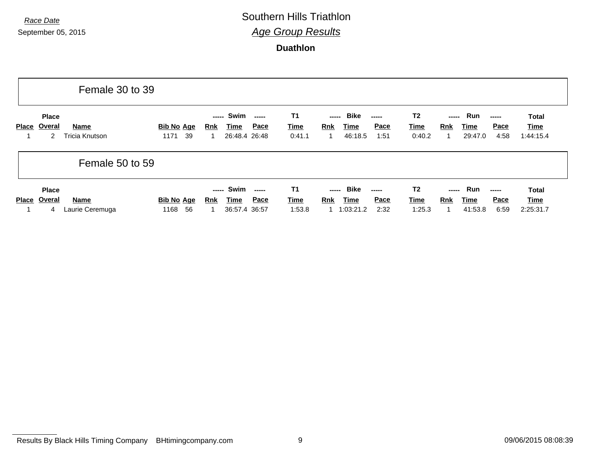# *Race Date* Southern Hills Triathlon *Age Group Results*

**Duathlon**

|              |                             | Female 30 to 39         |                                 |                                     |                                |                                    |                                                         |                              |                                         |                                                                    |                        |                              |                                          |
|--------------|-----------------------------|-------------------------|---------------------------------|-------------------------------------|--------------------------------|------------------------------------|---------------------------------------------------------|------------------------------|-----------------------------------------|--------------------------------------------------------------------|------------------------|------------------------------|------------------------------------------|
| Place        | <b>Place</b><br>Overal<br>2 | Name<br>Tricia Knutson  | <b>Bib No Age</b><br>39<br>1171 | Swim<br>-----<br><u>Rnk</u><br>Time | -----<br>Pace<br>26:48.4 26:48 | <b>T1</b><br><b>Time</b><br>0:41.1 | Bike<br>-----<br><u>Rnk</u><br>Time<br>46:18.5          | <b>Pace</b><br>1:51          | T <sub>2</sub><br><u>Time</u><br>0:40.2 | -----<br><b>Rnk</b>                                                | Run<br>Time<br>29:47.0 | -----<br><b>Pace</b><br>4:58 | <b>Total</b><br><b>Time</b><br>1:44:15.4 |
|              |                             | Female 50 to 59         |                                 |                                     |                                |                                    |                                                         |                              |                                         |                                                                    |                        |                              |                                          |
| <b>Place</b> | <b>Place</b><br>Overal<br>4 | Name<br>Laurie Ceremuga | Bib No Age<br>56<br>1168        | Swim<br>-----<br>Time<br><u>Rnk</u> | <u>Pace</u><br>36:57.4 36:57   | <b>T1</b><br><b>Time</b><br>1:53.8 | <b>Bike</b><br>-----<br><b>Rnk</b><br>Time<br>1:03:21.2 | -----<br><b>Pace</b><br>2:32 | T <sub>2</sub><br>Time<br>1:25.3        | $\begin{array}{ccc} - & - & - \\ \hline \end{array}$<br><b>Rnk</b> | Run<br>Time<br>41:53.8 | -----<br><b>Pace</b><br>6:59 | <b>Total</b><br><b>Time</b><br>2:25:31.7 |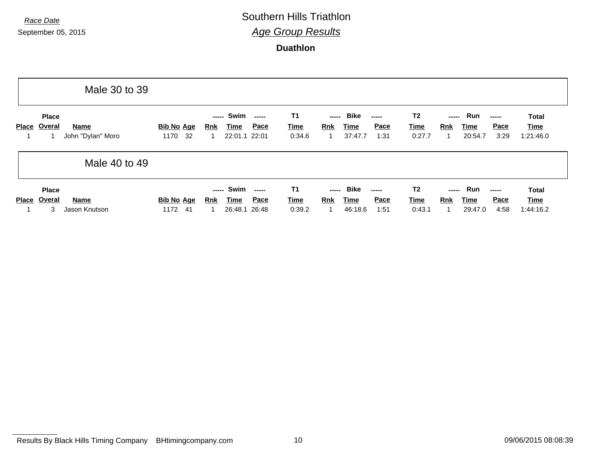# *Race Date* Southern Hills Triathlon *Age Group Results*

**Duathlon**

|              |                             | Male 30 to 39                    |                                 |                                                                                       |                                    |                                                                                |                                         |                                                                                      |                                          |
|--------------|-----------------------------|----------------------------------|---------------------------------|---------------------------------------------------------------------------------------|------------------------------------|--------------------------------------------------------------------------------|-----------------------------------------|--------------------------------------------------------------------------------------|------------------------------------------|
| <b>Place</b> | <b>Place</b><br>Overal      | <b>Name</b><br>John "Dylan" Moro | <b>Bib No Age</b><br>32<br>1170 | Swim<br>-----<br>Pace<br><u>Time</u><br><u>Rnk</u><br>22:01.1 22:01                   | <b>T1</b><br><b>Time</b><br>0:34.6 | Bike<br>-----<br>-----<br>Pace<br><b>Rnk</b><br>Time<br>37:47.7<br>1:31        | T <sub>2</sub><br><u>Time</u><br>0:27.7 | Run<br>-----<br>-----<br><b>Pace</b><br><b>Rnk</b><br><u>Time</u><br>3:29<br>20:54.7 | Total<br>Time<br>1:21:46.0               |
|              |                             | Male 40 to 49                    |                                 |                                                                                       |                                    |                                                                                |                                         |                                                                                      |                                          |
| <b>Place</b> | <b>Place</b><br>Overal<br>3 | Name<br>Jason Knutson            | <b>Bib No Age</b><br>1172<br>41 | Swim<br>-----<br>$- - - - -$<br><u>Pace</u><br>Time<br><u>Rnk</u><br>26:48.1<br>26:48 | <b>T1</b><br><b>Time</b><br>0:39.2 | Bike<br>-----<br>-----<br>Pace<br><b>Rnk</b><br><b>Time</b><br>46:18.6<br>1:51 | T <sub>2</sub><br><u>Time</u><br>0:43.1 | Run<br>-----<br><b>Pace</b><br><b>Rnk</b><br><u>Time</u><br>4:58<br>29:47.0          | <b>Total</b><br><u>Time</u><br>1:44:16.2 |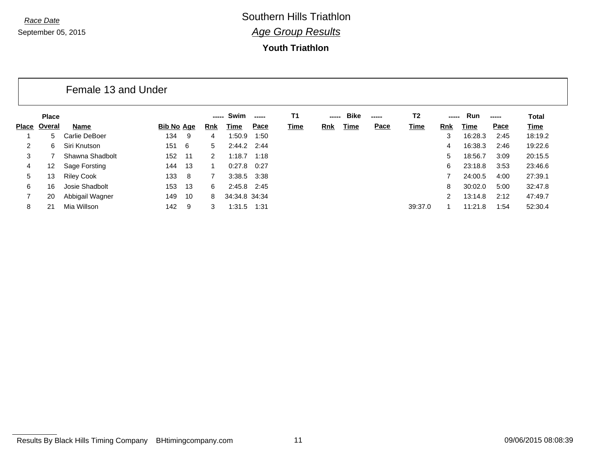#### **Youth Triathlon**

### Female 13 and Under

|       | <b>Place</b> |                   |                   |     | -----      | Swim            | ------ | Τ1          | ------     | <b>Bike</b> | ----- | T2      |               | <b>Run</b> | $- - - - -$ | Total       |
|-------|--------------|-------------------|-------------------|-----|------------|-----------------|--------|-------------|------------|-------------|-------|---------|---------------|------------|-------------|-------------|
| Place | Overal       | Name              | <b>Bib No Age</b> |     | <b>Rnk</b> | Time            | Pace   | <b>Time</b> | <b>Rnk</b> | Time        | Pace  | Time    | <b>Rnk</b>    | Time       | Pace        | <b>Time</b> |
|       | 5.           | Carlie DeBoer     | 134               | 9   | 4          | 1:50.9          | 1:50   |             |            |             |       |         | 3             | 16:28.3    | 2:45        | 18:19.2     |
| 2     | 6            | Siri Knutson      | 151               | - 6 | 5          | $2:44.2$ $2:44$ |        |             |            |             |       |         | 4             | 16:38.3    | 2:46        | 19:22.6     |
| 3     |              | Shawna Shadbolt   | 152               | 11  |            | 1:18.7          | 1:18   |             |            |             |       |         | 5.            | 18:56.7    | 3:09        | 20:15.5     |
| 4     | 12           | Sage Forsting     | 144               | 13  |            | 0:27.8          | 0:27   |             |            |             |       |         | 6             | 23:18.8    | 3:53        | 23:46.6     |
| 5     | 13           | <b>Riley Cook</b> | 133               | 8   |            | 3:38.5 3:38     |        |             |            |             |       |         |               | 24:00.5    | 4:00        | 27:39.1     |
| 6     | 16           | Josie Shadbolt    | 153               | 13  | 6          | $2:45.8$ $2:45$ |        |             |            |             |       |         | 8             | 30:02.0    | 5:00        | 32:47.8     |
|       | 20           | Abbigail Wagner   | 149               | 10  | 8          | 34:34.8 34:34   |        |             |            |             |       |         | $\mathcal{P}$ | 13:14.8    | 2:12        | 47:49.7     |
| 8     |              | Mia Willson       | 142               | 9   |            | 1:31.5          | 1:31   |             |            |             |       | 39:37.0 |               | 11:21.8    | 1:54        | 52:30.4     |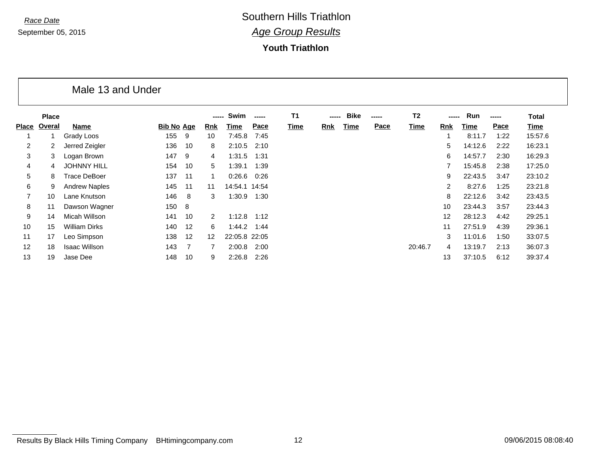#### **Youth Triathlon**

#### Male 13 and Under

|                | <b>Place</b> |                      |                   |     | -----             | Swim          | ----- | <b>T1</b> | ----- | <b>Bike</b> | ----- | T <sub>2</sub> |                | Run     | ------ | Total   |
|----------------|--------------|----------------------|-------------------|-----|-------------------|---------------|-------|-----------|-------|-------------|-------|----------------|----------------|---------|--------|---------|
| <b>Place</b>   | Overal       | Name                 | <b>Bib No Age</b> |     | Rnk               | Time          | Pace  | Time      | Rnk   | <b>Time</b> | Pace  | Time           | Rnk            | Time    | Pace   | Time    |
|                |              | Grady Loos           | 155               | -9  | 10                | 7:45.8        | 7:45  |           |       |             |       |                |                | 8:11.7  | 1:22   | 15:57.6 |
| 2              |              | Jerred Zeigler       | 136               | 10  | 8                 | 2:10.5        | 2:10  |           |       |             |       |                | 5              | 14:12.6 | 2:22   | 16:23.1 |
| 3              | 3            | Logan Brown          | 147               | -9  | 4                 | 1:31.5        | 1:31  |           |       |             |       |                | 6              | 14:57.7 | 2:30   | 16:29.3 |
| 4              | 4            | <b>JOHNNY HILL</b>   | 154               | 10  | 5                 | 1:39.1        | 1:39  |           |       |             |       |                | 7              | 15:45.8 | 2:38   | 17:25.0 |
| 5              | 8            | Trace DeBoer         | 137               | 11  |                   | 0:26.6        | 0:26  |           |       |             |       |                | 9              | 22:43.5 | 3:47   | 23:10.2 |
| 6              | 9            | <b>Andrew Naples</b> | 145               | 11  | 11                | 14:54.1 14:54 |       |           |       |             |       |                | $\overline{2}$ | 8:27.6  | 1:25   | 23:21.8 |
| $\overline{7}$ | 10           | Lane Knutson         | 146               | 8   | 3                 | 1:30.9        | 1:30  |           |       |             |       |                | 8              | 22:12.6 | 3:42   | 23:43.5 |
| 8              | 11           | Dawson Wagner        | 150               | - 8 |                   |               |       |           |       |             |       |                | 10             | 23:44.3 | 3:57   | 23:44.3 |
| 9              | 14           | Micah Willson        | 141               | 10  | 2                 | 1:12.8        | 1:12  |           |       |             |       |                | 12             | 28:12.3 | 4:42   | 29:25.1 |
| 10             | 15           | <b>William Dirks</b> | 140               | 12  | 6                 | 1:44.2        | 1:44  |           |       |             |       |                | 11             | 27:51.9 | 4:39   | 29:36.1 |
| 11             | 17           | Leo Simpson          | 138               | 12  | $12 \overline{ }$ | 22:05.8 22:05 |       |           |       |             |       |                | 3              | 11:01.6 | 1:50   | 33:07.5 |
| 12             | 18           | <b>Isaac Willson</b> | 143               |     |                   | 2:00.8        | 2:00  |           |       |             |       | 20:46.7        | 4              | 13:19.7 | 2:13   | 36:07.3 |
| 13             | 19           | Jase Dee             | 148               | 10  | 9                 | 2:26.8        | 2:26  |           |       |             |       |                | 13             | 37:10.5 | 6:12   | 39:37.4 |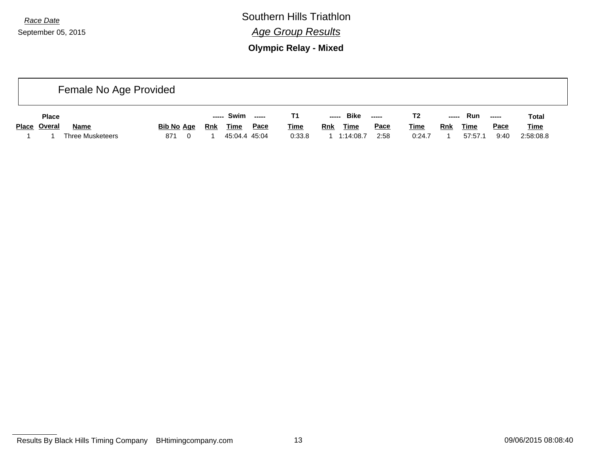*Race Date* Southern Hills Triathlon *Age Group Results*

**Olympic Relay - Mixed**

| Female No Age Provided |              |                         |                   |     |             |               |             |            |             |                                                         |             |            |             |             |             |  |
|------------------------|--------------|-------------------------|-------------------|-----|-------------|---------------|-------------|------------|-------------|---------------------------------------------------------|-------------|------------|-------------|-------------|-------------|--|
|                        | <b>Place</b> |                         |                   |     | ----- Swim  | ------        |             | -----      | Bike        | $\begin{array}{ccc} - & - & - \\ - & - & - \end{array}$ | T2          | -----      | Run         | -----       | Total       |  |
|                        | Place Overal | <b>Name</b>             | <b>Bib No Age</b> | Rnk | <b>Time</b> | <u>Pace</u>   | <u>Time</u> | <b>Rnk</b> | <u>Time</u> | Pace                                                    | <u>Time</u> | <b>Rnk</b> | <b>Time</b> | <u>Pace</u> | <b>Time</b> |  |
|                        |              | <b>Three Musketeers</b> | 871<br>0          |     |             | 45:04.4 45:04 | 0:33.8      |            | 1:14:08.7   | 2:58                                                    | 0:24.7      |            | 57:57.1     | 9:40        | 2:58:08.8   |  |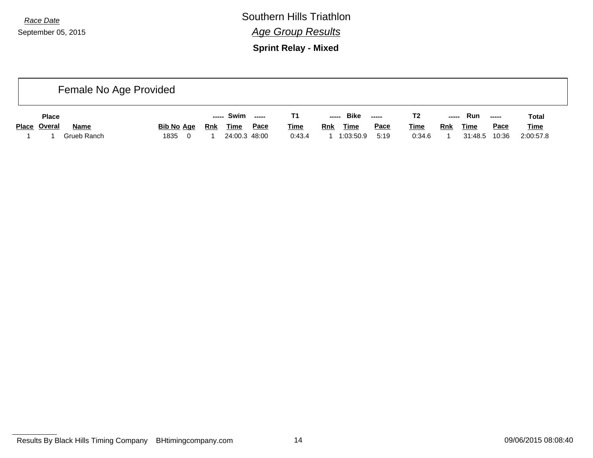*Race Date* Southern Hills Triathlon *Age Group Results*

**Sprint Relay - Mixed**

| Female No Age Provided |              |             |                        |            |               |      |             |                           |      |             |            |             |        |              |
|------------------------|--------------|-------------|------------------------|------------|---------------|------|-------------|---------------------------|------|-------------|------------|-------------|--------|--------------|
|                        | <b>Place</b> |             |                        | -----      | Swim -----    |      |             | ----- Bike                |      | T2          | -----      | Run         | $\sim$ | <b>Total</b> |
|                        | Place Overal | <b>Name</b> | <b>Bib No Age</b>      | <b>Rnk</b> | <u>Time</u>   | Pace | <b>Time</b> | <b>Rnk</b><br><b>Time</b> | Pace | <b>Time</b> | <b>Rnk</b> | <u>Time</u> | Pace   | <b>Time</b>  |
|                        |              | Grueb Ranch | 1835<br>$\overline{0}$ |            | 24:00.3 48:00 |      | 0:43.4      | 1:03:50.9                 | 5:19 | 0:34.6      |            | 31:48.5     | 10:36  | 2:00:57.8    |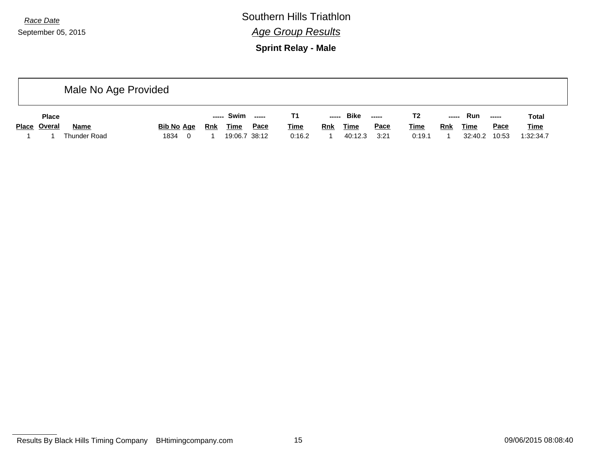*Race Date* Southern Hills Triathlon *Age Group Results*

**Sprint Relay - Male**

|              | Male No Age Provided |              |                   |            |               |        |             |            |             |             |             |            |         |                       |              |
|--------------|----------------------|--------------|-------------------|------------|---------------|--------|-------------|------------|-------------|-------------|-------------|------------|---------|-----------------------|--------------|
| <b>Place</b> |                      |              |                   |            | Swim<br>----- | ------ |             | -----      | <b>Bike</b> | -----       | Τ2          | -----      | Run     | $\sim$ - - - - $\sim$ | <b>Total</b> |
|              | Place Overal         | <b>Name</b>  | <b>Bib No Age</b> | <u>Rnk</u> | <b>Time</b>   | Pace   | <b>Time</b> | <b>Rnk</b> | <u>Time</u> | <b>Pace</b> | <b>Time</b> | <u>Rnk</u> | Time    | <u>Pace</u>           | <b>Time</b>  |
|              |                      | Thunder Road | 1834<br>0         |            | 19:06.7 38:12 |        | 0:16.2      |            | 40:12.3     | 3:21        | 0:19.1      |            | 32:40.2 | 10:53                 | 1:32:34.7    |